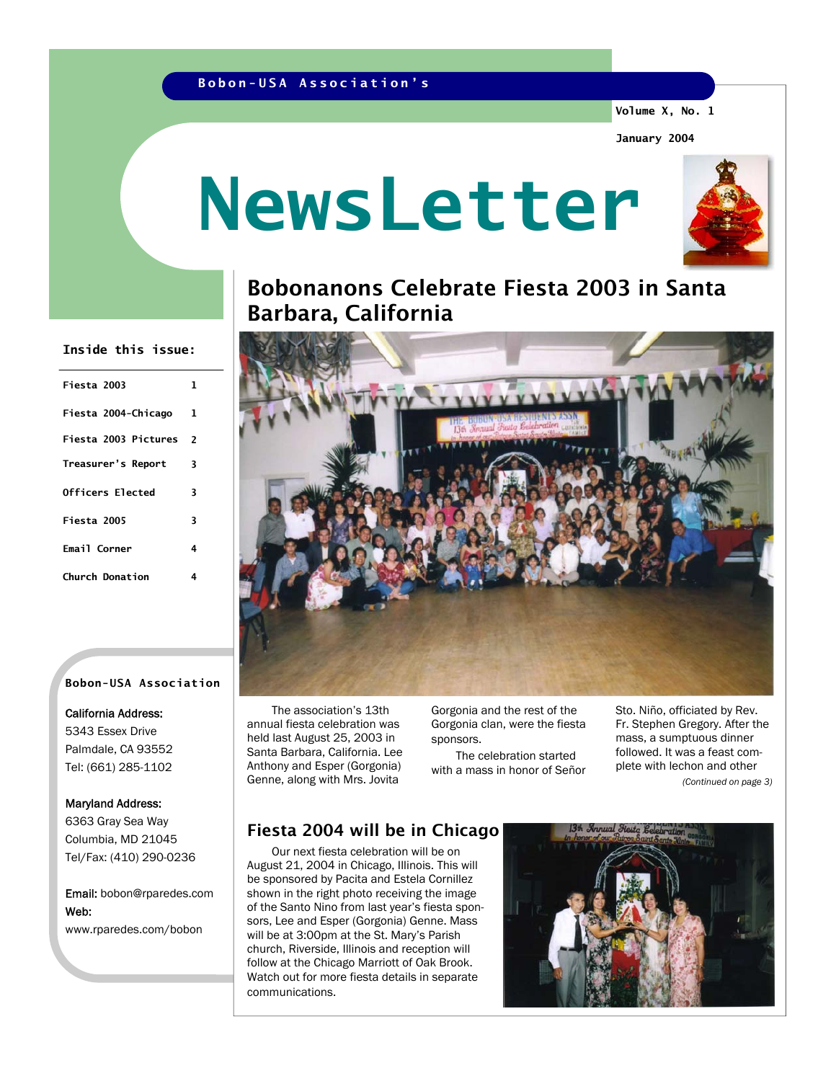## **Bobon-USA Association's**

**Volume X, No. 1** 

**January 2004** 

# **NewsLetter**



# Bobonanons Celebrate Fiesta 2003 in Santa Barbara, California

## **Inside this issue:**

| Fiesta 2003          | 1  |
|----------------------|----|
| Fiesta 2004-Chicago  | -1 |
| Fiesta 2003 Pictures | 2  |
| Treasurer's Report   | 3  |
| Officers Flected     | 3  |
| Fiesta 2005          | 3  |
| Email Corner         | 4  |
| Church Donation      | 4  |

### **Bobon-USA Association**

## California Address:

5343 Essex Drive Palmdale, CA 93552 Tel: (661) 285-1102

## Maryland Address:

6363 Gray Sea Way Columbia, MD 21045 Tel/Fax: (410) 290-0236

Email: bobon@rparedes.com Web: www.rparedes.com/bobon

 The association's 13th annual fiesta celebration was held last August 25, 2003 in Santa Barbara, California. Lee Anthony and Esper (Gorgonia) Genne, along with Mrs. Jovita

Gorgonia and the rest of the Gorgonia clan, were the fiesta sponsors.

 The celebration started with a mass in honor of Señor Sto. Niño, officiated by Rev. Fr. Stephen Gregory. After the mass, a sumptuous dinner followed. It was a feast complete with lechon and other *(Continued on page 3)* 

# Fiesta 2004 will be in Chicago

 Our next fiesta celebration will be on August 21, 2004 in Chicago, Illinois. This will be sponsored by Pacita and Estela Cornillez shown in the right photo receiving the image of the Santo Nino from last year's fiesta sponsors, Lee and Esper (Gorgonia) Genne. Mass will be at 3:00pm at the St. Mary's Parish church, Riverside, Illinois and reception will follow at the Chicago Marriott of Oak Brook. Watch out for more fiesta details in separate communications.

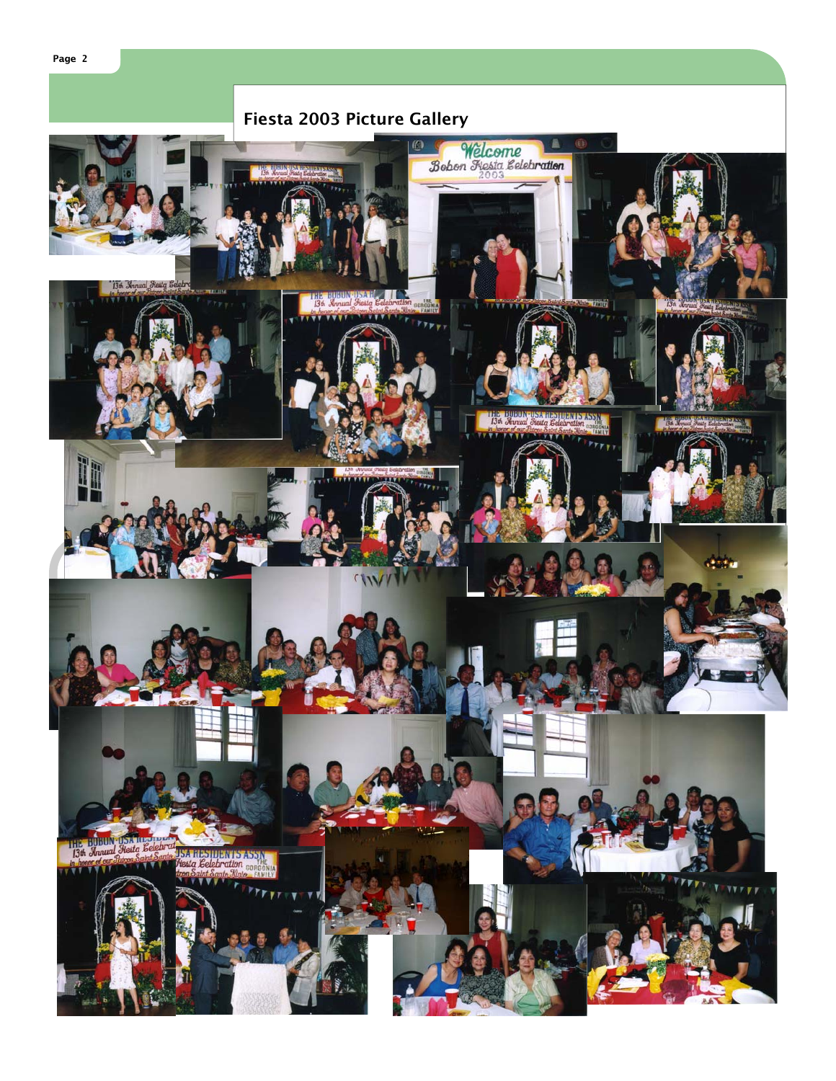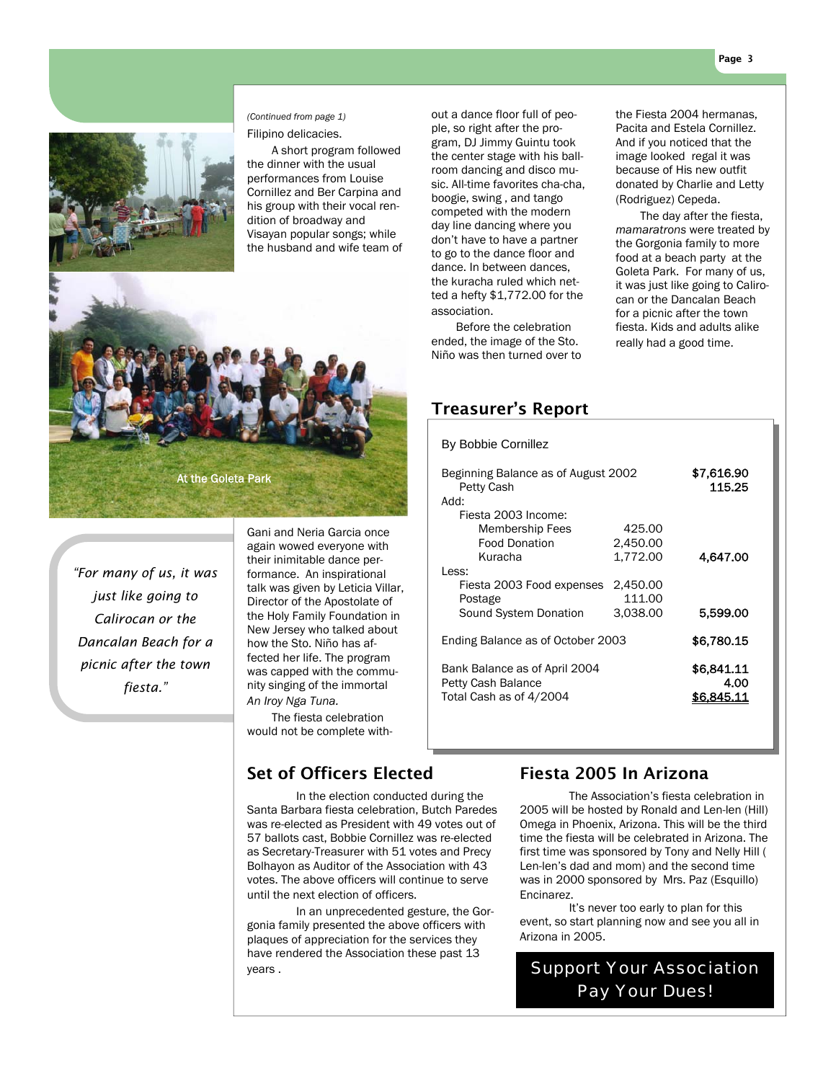

Filipino delicacies.

 A short program followed the dinner with the usual performances from Louise Cornillez and Ber Carpina and his group with their vocal rendition of broadway and Visayan popular songs; while the husband and wife team of

At the Goleta Park

*"For many of us, it was just like going to Calirocan or the Dancalan Beach for a picnic after the town fiesta."* 

Gani and Neria Garcia once again wowed everyone with their inimitable dance performance. An inspirational talk was given by Leticia Villar, Director of the Apostolate of the Holy Family Foundation in New Jersey who talked about how the Sto. Niño has affected her life. The program was capped with the community singing of the immortal *An Iroy Nga Tuna.* 

 The fiesta celebration would not be complete with-

## Set of Officers Elected Fiesta 2005 In Arizona

 In the election conducted during the Santa Barbara fiesta celebration, Butch Paredes was re-elected as President with 49 votes out of 57 ballots cast, Bobbie Cornillez was re-elected as Secretary-Treasurer with 51 votes and Precy Bolhayon as Auditor of the Association with 43 votes. The above officers will continue to serve until the next election of officers.

 In an unprecedented gesture, the Gorgonia family presented the above officers with plaques of appreciation for the services they have rendered the Association these past 13 years .

*(Continued from page 1)* out a dance floor full of people, so right after the program, DJ Jimmy Guintu took the center stage with his ballroom dancing and disco music. All-time favorites cha-cha, boogie, swing , and tango competed with the modern day line dancing where you don't have to have a partner to go to the dance floor and dance. In between dances, the kuracha ruled which netted a hefty \$1,772.00 for the association.

> Before the celebration ended, the image of the Sto. Niño was then turned over to

the Fiesta 2004 hermanas, Pacita and Estela Cornillez. And if you noticed that the image looked regal it was because of His new outfit donated by Charlie and Letty (Rodriguez) Cepeda.

 The day after the fiesta, *mamaratrons* were treated by the Gorgonia family to more food at a beach party at the Goleta Park. For many of us, it was just like going to Calirocan or the Dancalan Beach for a picnic after the town fiesta. Kids and adults alike really had a good time.

## Treasurer's Report

## By Bobbie Cornillez

| Beginning Balance as of August 2002<br>Petty Cash   |          | \$7,616.90<br>115.25 |
|-----------------------------------------------------|----------|----------------------|
| Add:                                                |          |                      |
| Fiesta 2003 Income:                                 |          |                      |
| <b>Membership Fees</b>                              | 425.00   |                      |
| <b>Food Donation</b>                                | 2,450.00 |                      |
| Kuracha                                             | 1,772.00 | 4.647.00             |
| Less:                                               |          |                      |
| Fiesta 2003 Food expenses                           | 2,450.00 |                      |
| Postage                                             | 111.00   |                      |
| Sound System Donation                               | 3.038.00 | 5,599,00             |
| Ending Balance as of October 2003                   |          | \$6,780.15           |
| Bank Balance as of April 2004<br>Petty Cash Balance |          | \$6,841.11<br>4.00   |
| Total Cash as of 4/2004                             |          |                      |

 The Association's fiesta celebration in 2005 will be hosted by Ronald and Len-len (Hill) Omega in Phoenix, Arizona. This will be the third time the fiesta will be celebrated in Arizona. The first time was sponsored by Tony and Nelly Hill ( Len-len's dad and mom) and the second time was in 2000 sponsored by Mrs. Paz (Esquillo) Encinarez.

It's never too early to plan for this event, so start planning now and see you all in Arizona in 2005.

# Support Your Association Pay Your Dues!